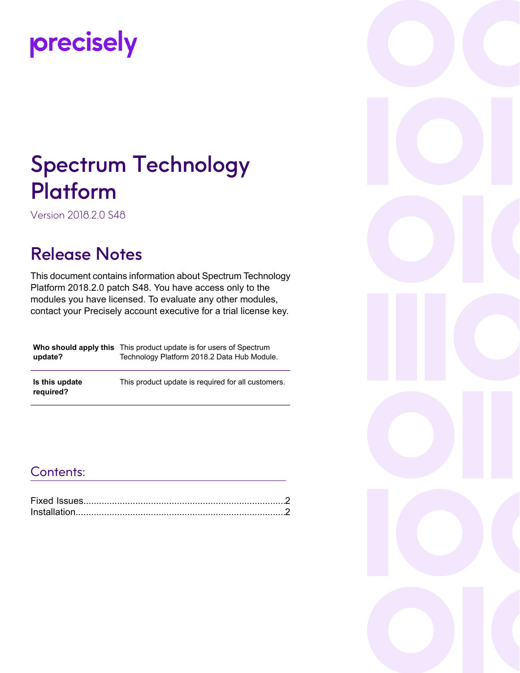# precisely

## Spectrum Technology Platform

Version 2018.2.0 S48

### Release Notes

This document contains information about Spectrum Technology Platform 2018.2.0 patch S48. You have access only to the modules you have licensed. To evaluate any other modules, contact your Precisely account executive for a trial license key.

| update?                     | <b>Who should apply this</b> This product update is for users of Spectrum<br>Technology Platform 2018.2 Data Hub Module. |
|-----------------------------|--------------------------------------------------------------------------------------------------------------------------|
| Is this update<br>required? | This product update is required for all customers.                                                                       |

#### Contents:

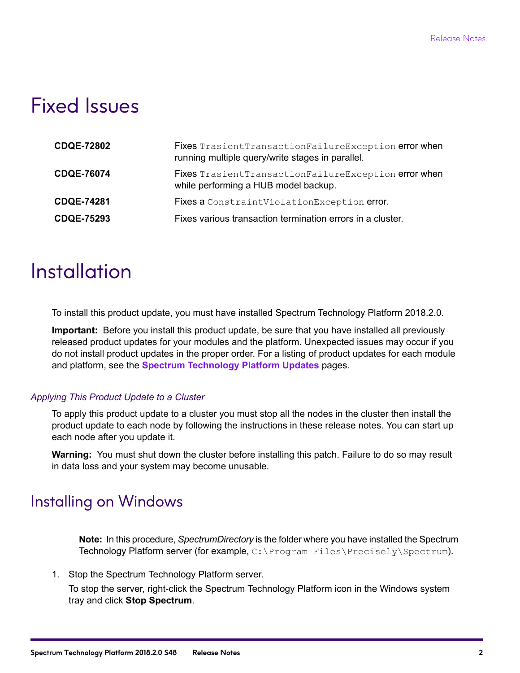### <span id="page-1-0"></span>Fixed Issues

| <b>CDQE-72802</b> | Fixes TrasientTransactionFailureException error when<br>running multiple query/write stages in parallel. |
|-------------------|----------------------------------------------------------------------------------------------------------|
| <b>CDQE-76074</b> | Fixes Trasient Transaction Failure Exception error when<br>while performing a HUB model backup.          |
| <b>CDQE-74281</b> | Fixes a ConstraintViolationException error.                                                              |
| <b>CDQE-75293</b> | Fixes various transaction termination errors in a cluster.                                               |

### <span id="page-1-1"></span>**Installation**

To install this product update, you must have installed Spectrum Technology Platform 2018.2.0.

**Important:** Before you install this product update, be sure that you have installed all previously released product updates for your modules and the platform. Unexpected issues may occur if you do not install product updates in the proper order. For a listing of product updates for each module and platform, see the **Spectrum [Technology](https://docs.precisely.com/docs/sftw/spectrum/ProductUpdateSummary/index.html#ProductUpdateSummary/source/Introduction.html) Platform Updates** pages.

#### *Applying This Product Update to a Cluster*

To apply this product update to a cluster you must stop all the nodes in the cluster then install the product update to each node by following the instructions in these release notes. You can start up each node after you update it.

**Warning:** You must shut down the cluster before installing this patch. Failure to do so may result in data loss and your system may become unusable.

### Installing on Windows

**Note:** In this procedure, *SpectrumDirectory* is the folder where you have installed the Spectrum Technology Platform server (for example, C:\Program Files\Precisely\Spectrum).

1. Stop the Spectrum Technology Platform server.

To stop the server, right-click the Spectrum Technology Platform icon in the Windows system tray and click **Stop Spectrum**.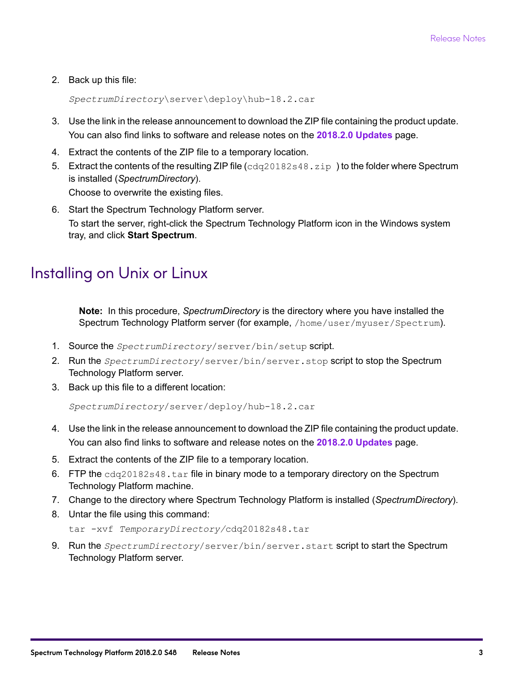2. Back up this file:

*SpectrumDirectory*\server\deploy\hub-18.2.car

- 3. Use the link in the release announcement to download the ZIP file containing the product update. You can also find links to software and release notes on the **2018.2.0 [Updates](https://docs.precisely.com/docs/sftw/spectrum/ProductUpdateSummary/index.html#ProductUpdateSummary/source/SummaryTable-2018.2.0.html)** page.
- 4. Extract the contents of the ZIP file to a temporary location.
- 5. Extract the contents of the resulting ZIP file  $(cdq20182s48.zip)$  to the folder where Spectrum is installed (*SpectrumDirectory*). Choose to overwrite the existing files.
- 6. Start the Spectrum Technology Platform server. To start the server, right-click the Spectrum Technology Platform icon in the Windows system tray, and click **Start Spectrum**.

#### Installing on Unix or Linux

**Note:** In this procedure, *SpectrumDirectory* is the directory where you have installed the Spectrum Technology Platform server (for example, /home/user/myuser/Spectrum).

- 1. Source the *SpectrumDirectory*/server/bin/setup script.
- 2. Run the *SpectrumDirectory*/server/bin/server.stop script to stop the Spectrum Technology Platform server.
- 3. Back up this file to a different location:

```
SpectrumDirectory/server/deploy/hub-18.2.car
```
- 4. Use the link in the release announcement to download the ZIP file containing the product update. You can also find links to software and release notes on the **2018.2.0 [Updates](https://docs.precisely.com/docs/sftw/spectrum/ProductUpdateSummary/index.html#ProductUpdateSummary/source/SummaryTable-2018.2.0.html)** page.
- 5. Extract the contents of the ZIP file to a temporary location.
- 6. FTP the  $cdq20182s48$ .tar file in binary mode to a temporary directory on the Spectrum Technology Platform machine.
- 7. Change to the directory where Spectrum Technology Platform is installed (*SpectrumDirectory*).
- 8. Untar the file using this command:

```
tar -xvf TemporaryDirectory/cdq20182s48.tar
```
9. Run the *SpectrumDirectory*/server/bin/server.start script to start the Spectrum Technology Platform server.